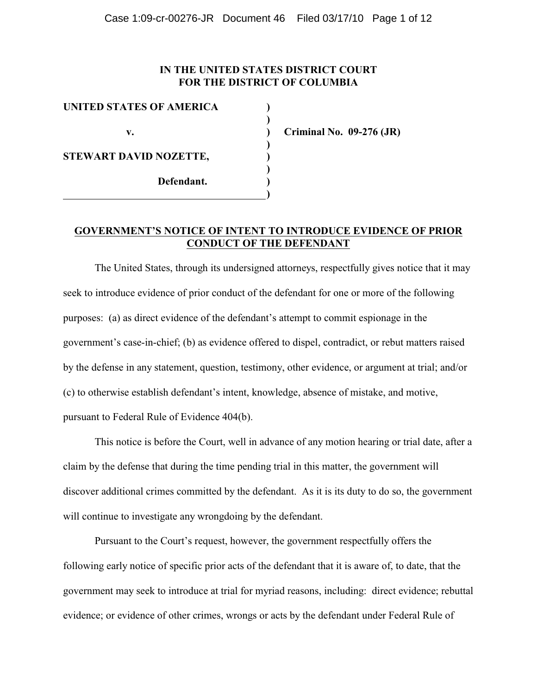# **IN THE UNITED STATES DISTRICT COURT FOR THE DISTRICT OF COLUMBIA**

| UNITED STATES OF AMERICA |  |
|--------------------------|--|
|                          |  |
| v.                       |  |
|                          |  |
| STEWART DAVID NOZETTE,   |  |
|                          |  |
| Defendant.               |  |
|                          |  |

**v. ) Criminal No. 09-276 (JR)**

# **GOVERNMENT'S NOTICE OF INTENT TO INTRODUCE EVIDENCE OF PRIOR CONDUCT OF THE DEFENDANT**

The United States, through its undersigned attorneys, respectfully gives notice that it may seek to introduce evidence of prior conduct of the defendant for one or more of the following purposes: (a) as direct evidence of the defendant's attempt to commit espionage in the government's case-in-chief; (b) as evidence offered to dispel, contradict, or rebut matters raised by the defense in any statement, question, testimony, other evidence, or argument at trial; and/or (c) to otherwise establish defendant's intent, knowledge, absence of mistake, and motive, pursuant to Federal Rule of Evidence 404(b).

This notice is before the Court, well in advance of any motion hearing or trial date, after a claim by the defense that during the time pending trial in this matter, the government will discover additional crimes committed by the defendant. As it is its duty to do so, the government will continue to investigate any wrongdoing by the defendant.

Pursuant to the Court's request, however, the government respectfully offers the following early notice of specific prior acts of the defendant that it is aware of, to date, that the government may seek to introduce at trial for myriad reasons, including: direct evidence; rebuttal evidence; or evidence of other crimes, wrongs or acts by the defendant under Federal Rule of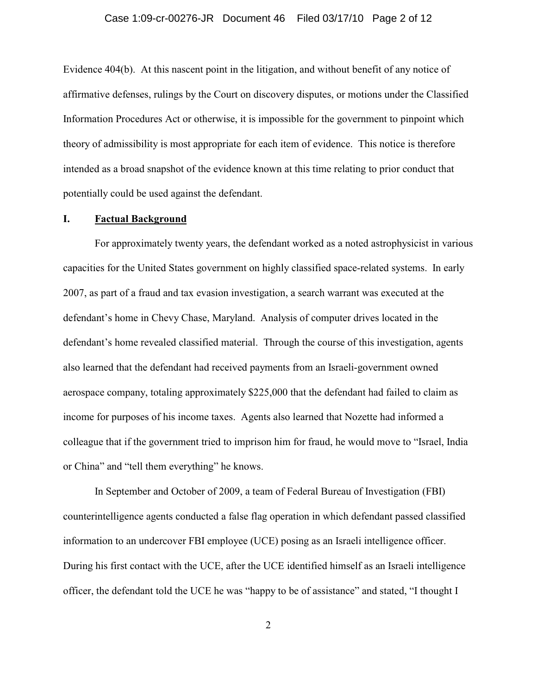#### Case 1:09-cr-00276-JR Document 46 Filed 03/17/10 Page 2 of 12

Evidence 404(b). At this nascent point in the litigation, and without benefit of any notice of affirmative defenses, rulings by the Court on discovery disputes, or motions under the Classified Information Procedures Act or otherwise, it is impossible for the government to pinpoint which theory of admissibility is most appropriate for each item of evidence. This notice is therefore intended as a broad snapshot of the evidence known at this time relating to prior conduct that potentially could be used against the defendant.

### **I. Factual Background**

For approximately twenty years, the defendant worked as a noted astrophysicist in various capacities for the United States government on highly classified space-related systems. In early 2007, as part of a fraud and tax evasion investigation, a search warrant was executed at the defendant's home in Chevy Chase, Maryland. Analysis of computer drives located in the defendant's home revealed classified material. Through the course of this investigation, agents also learned that the defendant had received payments from an Israeli-government owned aerospace company, totaling approximately \$225,000 that the defendant had failed to claim as income for purposes of his income taxes. Agents also learned that Nozette had informed a colleague that if the government tried to imprison him for fraud, he would move to "Israel, India or China" and "tell them everything" he knows.

In September and October of 2009, a team of Federal Bureau of Investigation (FBI) counterintelligence agents conducted a false flag operation in which defendant passed classified information to an undercover FBI employee (UCE) posing as an Israeli intelligence officer. During his first contact with the UCE, after the UCE identified himself as an Israeli intelligence officer, the defendant told the UCE he was "happy to be of assistance" and stated, "I thought I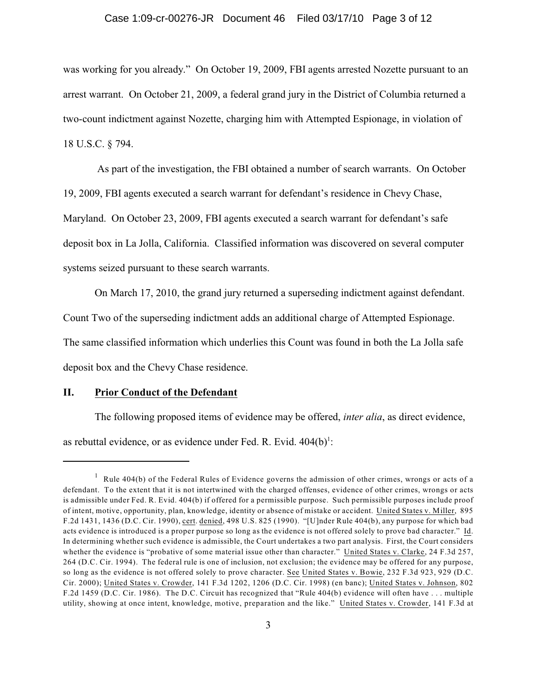#### Case 1:09-cr-00276-JR Document 46 Filed 03/17/10 Page 3 of 12

was working for you already." On October 19, 2009, FBI agents arrested Nozette pursuant to an arrest warrant. On October 21, 2009, a federal grand jury in the District of Columbia returned a two-count indictment against Nozette, charging him with Attempted Espionage, in violation of 18 U.S.C. § 794.

 As part of the investigation, the FBI obtained a number of search warrants. On October 19, 2009, FBI agents executed a search warrant for defendant's residence in Chevy Chase, Maryland. On October 23, 2009, FBI agents executed a search warrant for defendant's safe deposit box in La Jolla, California. Classified information was discovered on several computer systems seized pursuant to these search warrants.

On March 17, 2010, the grand jury returned a superseding indictment against defendant.

Count Two of the superseding indictment adds an additional charge of Attempted Espionage.

The same classified information which underlies this Count was found in both the La Jolla safe

deposit box and the Chevy Chase residence.

### **II. Prior Conduct of the Defendant**

The following proposed items of evidence may be offered, *inter alia*, as direct evidence, as rebuttal evidence, or as evidence under Fed. R. Evid.  $404(b)^1$ :

 $1$  Rule 404(b) of the Federal Rules of Evidence governs the admission of other crimes, wrongs or acts of a defendant. To the extent that it is not intertwined with the charged offenses, evidence of other crimes, wrongs or acts is admissible under Fed. R. Evid. 404(b) if offered for a permissible purpose. Such permissible purposes include proof of intent, motive, opportunity, plan, knowledge, identity or absence of mistake or accident. United States v. Miller, 895 F.2d 1431, 1436 (D.C. Cir. 1990), cert. denied, 498 U.S. 825 (1990). "[U]nder Rule 404(b), any purpose for which bad acts evidence is introduced is a proper purpose so long as the evidence is not offered solely to prove bad character." Id. In determining whether such evidence is admissible, the Court undertakes a two part analysis. First, the Court considers whether the evidence is "probative of some material issue other than character." United States v. Clarke, 24 F.3d 257, 264 (D.C. Cir. 1994). The federal rule is one of inclusion, not exclusion; the evidence may be offered for any purpose, so long as the evidence is not offered solely to prove character. See United States v. Bowie, 232 F.3d 923, 929 (D.C. Cir. 2000); United States v. Crowder, 141 F.3d 1202, 1206 (D.C. Cir. 1998) (en banc); United States v. Johnson, 802 F.2d 1459 (D.C. Cir. 1986). The D.C. Circuit has recognized that "Rule 404(b) evidence will often have . . . multiple utility, showing at once intent, knowledge, motive, preparation and the like." United States v. Crowder, 141 F.3d at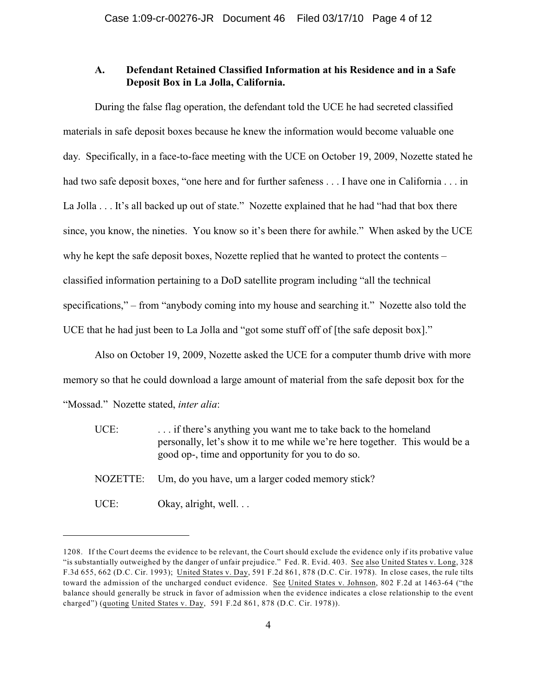# **A. Defendant Retained Classified Information at his Residence and in a Safe Deposit Box in La Jolla, California.**

During the false flag operation, the defendant told the UCE he had secreted classified materials in safe deposit boxes because he knew the information would become valuable one day. Specifically, in a face-to-face meeting with the UCE on October 19, 2009, Nozette stated he had two safe deposit boxes, "one here and for further safeness . . . I have one in California . . . in La Jolla . . . It's all backed up out of state." Nozette explained that he had "had that box there since, you know, the nineties. You know so it's been there for awhile." When asked by the UCE why he kept the safe deposit boxes, Nozette replied that he wanted to protect the contents – classified information pertaining to a DoD satellite program including "all the technical specifications," – from "anybody coming into my house and searching it." Nozette also told the UCE that he had just been to La Jolla and "got some stuff off of [the safe deposit box]."

Also on October 19, 2009, Nozette asked the UCE for a computer thumb drive with more memory so that he could download a large amount of material from the safe deposit box for the "Mossad." Nozette stated, *inter alia*:

| UCE:     | if there's anything you want me to take back to the homeland<br>personally, let's show it to me while we're here together. This would be a<br>good op-, time and opportunity for you to do so. |
|----------|------------------------------------------------------------------------------------------------------------------------------------------------------------------------------------------------|
| NOZETTE: | Um, do you have, um a larger coded memory stick?                                                                                                                                               |
| UCE:     | Okay, alright, well. $\ldots$                                                                                                                                                                  |

<sup>1208.</sup> If the Court deems the evidence to be relevant, the Court should exclude the evidence only if its probative value "is substantially outweighed by the danger of unfair prejudice." Fed. R. Evid. 403. See also United States v. Long, 328 F.3d 655, 662 (D.C. Cir. 1993); United States v. Day, 591 F.2d 861, 878 (D.C. Cir. 1978). In close cases, the rule tilts toward the admission of the uncharged conduct evidence. See United States v. Johnson, 802 F.2d at 1463-64 ("the balance should generally be struck in favor of admission when the evidence indicates a close relationship to the event charged") (quoting United States v. Day, 591 F.2d 861, 878 (D.C. Cir. 1978)).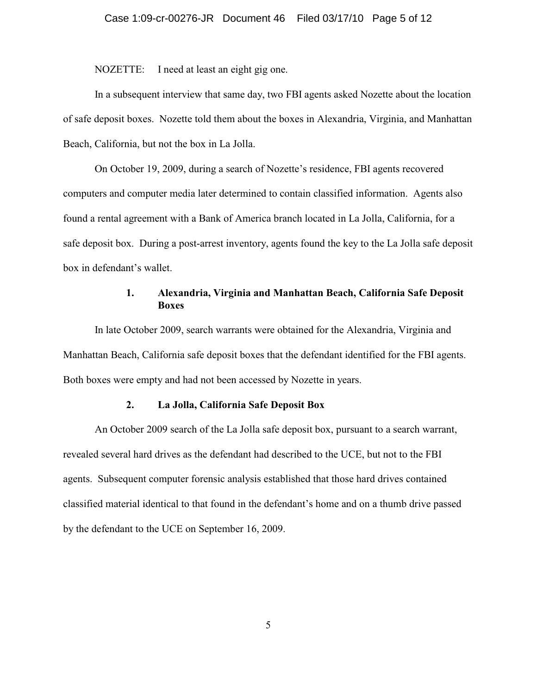NOZETTE: I need at least an eight gig one.

In a subsequent interview that same day, two FBI agents asked Nozette about the location of safe deposit boxes. Nozette told them about the boxes in Alexandria, Virginia, and Manhattan Beach, California, but not the box in La Jolla.

On October 19, 2009, during a search of Nozette's residence, FBI agents recovered computers and computer media later determined to contain classified information. Agents also found a rental agreement with a Bank of America branch located in La Jolla, California, for a safe deposit box. During a post-arrest inventory, agents found the key to the La Jolla safe deposit box in defendant's wallet.

## **1. Alexandria, Virginia and Manhattan Beach, California Safe Deposit Boxes**

In late October 2009, search warrants were obtained for the Alexandria, Virginia and Manhattan Beach, California safe deposit boxes that the defendant identified for the FBI agents. Both boxes were empty and had not been accessed by Nozette in years.

### **2. La Jolla, California Safe Deposit Box**

An October 2009 search of the La Jolla safe deposit box, pursuant to a search warrant, revealed several hard drives as the defendant had described to the UCE, but not to the FBI agents. Subsequent computer forensic analysis established that those hard drives contained classified material identical to that found in the defendant's home and on a thumb drive passed by the defendant to the UCE on September 16, 2009.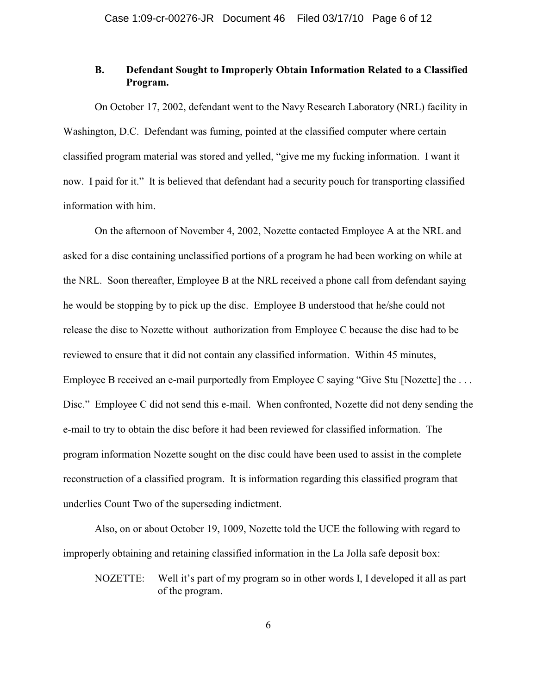# **B. Defendant Sought to Improperly Obtain Information Related to a Classified Program.**

On October 17, 2002, defendant went to the Navy Research Laboratory (NRL) facility in Washington, D.C. Defendant was fuming, pointed at the classified computer where certain classified program material was stored and yelled, "give me my fucking information. I want it now. I paid for it." It is believed that defendant had a security pouch for transporting classified information with him.

On the afternoon of November 4, 2002, Nozette contacted Employee A at the NRL and asked for a disc containing unclassified portions of a program he had been working on while at the NRL. Soon thereafter, Employee B at the NRL received a phone call from defendant saying he would be stopping by to pick up the disc. Employee B understood that he/she could not release the disc to Nozette without authorization from Employee C because the disc had to be reviewed to ensure that it did not contain any classified information. Within 45 minutes, Employee B received an e-mail purportedly from Employee C saying "Give Stu [Nozette] the ... Disc." Employee C did not send this e-mail. When confronted, Nozette did not deny sending the e-mail to try to obtain the disc before it had been reviewed for classified information. The program information Nozette sought on the disc could have been used to assist in the complete reconstruction of a classified program. It is information regarding this classified program that underlies Count Two of the superseding indictment.

Also, on or about October 19, 1009, Nozette told the UCE the following with regard to improperly obtaining and retaining classified information in the La Jolla safe deposit box:

NOZETTE: Well it's part of my program so in other words I, I developed it all as part of the program.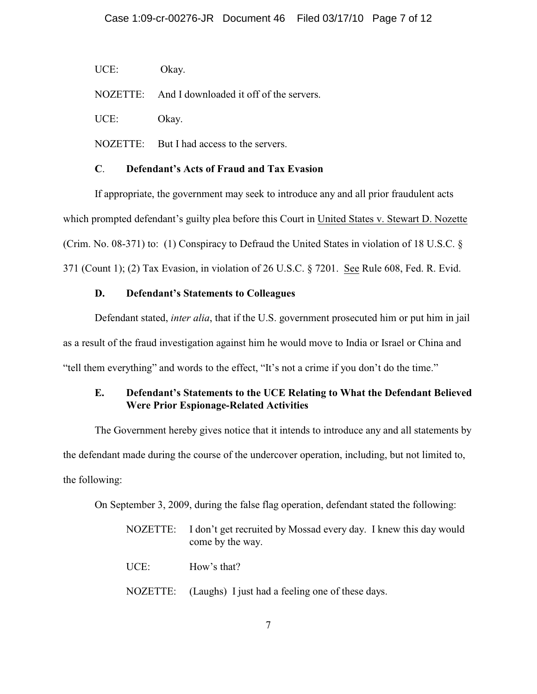UCE: Okay.

NOZETTE: And I downloaded it off of the servers.

UCE: Okay.

NOZETTE: But I had access to the servers.

## **C**. **Defendant's Acts of Fraud and Tax Evasion**

If appropriate, the government may seek to introduce any and all prior fraudulent acts which prompted defendant's guilty plea before this Court in United States v. Stewart D. Nozette (Crim. No. 08-371) to: (1) Conspiracy to Defraud the United States in violation of 18 U.S.C. § 371 (Count 1); (2) Tax Evasion, in violation of 26 U.S.C. § 7201. See Rule 608, Fed. R. Evid.

# **D. Defendant's Statements to Colleagues**

Defendant stated, *inter alia*, that if the U.S. government prosecuted him or put him in jail as a result of the fraud investigation against him he would move to India or Israel or China and "tell them everything" and words to the effect, "It's not a crime if you don't do the time."

# **E. Defendant's Statements to the UCE Relating to What the Defendant Believed Were Prior Espionage-Related Activities**

The Government hereby gives notice that it intends to introduce any and all statements by the defendant made during the course of the undercover operation, including, but not limited to, the following:

On September 3, 2009, during the false flag operation, defendant stated the following:

| NOZETTE: | I don't get recruited by Mossad every day. I knew this day would<br>come by the way. |
|----------|--------------------------------------------------------------------------------------|
| UCE:     | How's that?                                                                          |
|          | NOZETTE: (Laughs) I just had a feeling one of these days.                            |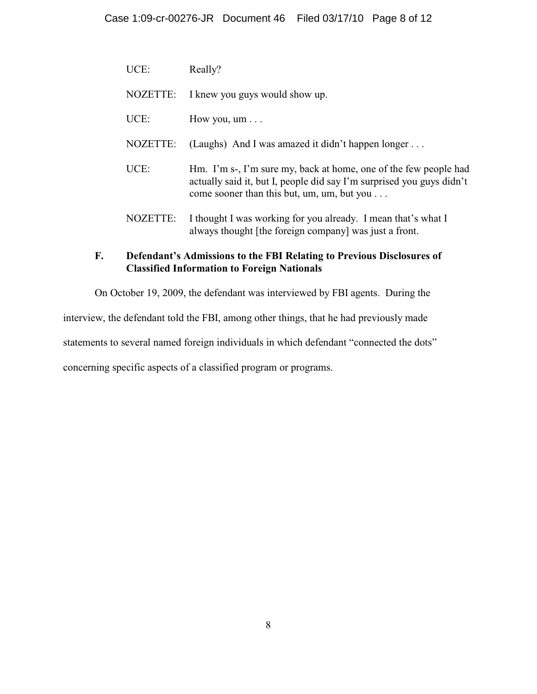| UCE:            | Really?                                                                                                                                                                                         |
|-----------------|-------------------------------------------------------------------------------------------------------------------------------------------------------------------------------------------------|
| NOZETTE:        | I knew you guys would show up.                                                                                                                                                                  |
| UCE:            | How you, $um \dots$                                                                                                                                                                             |
| <b>NOZETTE:</b> | (Laughs) And I was amazed it didn't happen longer $\dots$                                                                                                                                       |
| UCE:            | Hm. I'm s-, I'm sure my, back at home, one of the few people had<br>actually said it, but I, people did say I'm surprised you guys didn't<br>come sooner than this but, um, um, but you $\dots$ |
| NOZETTE:        | I thought I was working for you already. I mean that's what I<br>always thought [the foreign company] was just a front.                                                                         |

# **F. Defendant's Admissions to the FBI Relating to Previous Disclosures of Classified Information to Foreign Nationals**

On October 19, 2009, the defendant was interviewed by FBI agents. During the

interview, the defendant told the FBI, among other things, that he had previously made

statements to several named foreign individuals in which defendant "connected the dots"

concerning specific aspects of a classified program or programs.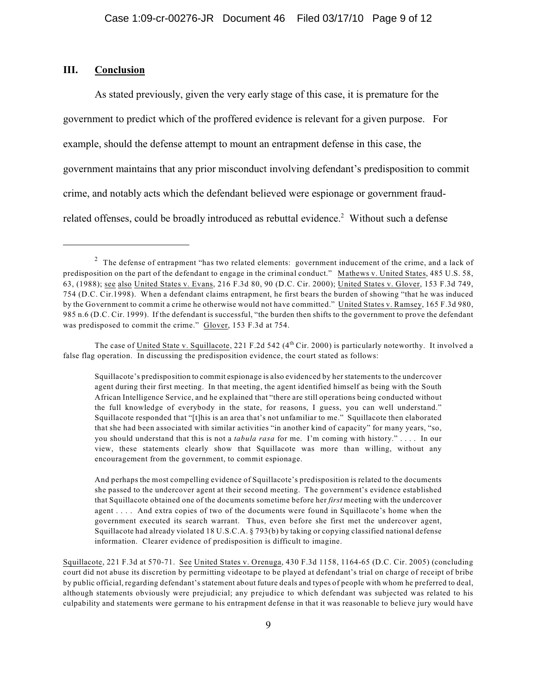#### **III. Conclusion**

As stated previously, given the very early stage of this case, it is premature for the government to predict which of the proffered evidence is relevant for a given purpose. For example, should the defense attempt to mount an entrapment defense in this case, the government maintains that any prior misconduct involving defendant's predisposition to commit crime, and notably acts which the defendant believed were espionage or government fraudrelated offenses, could be broadly introduced as rebuttal evidence.<sup>2</sup> Without such a defense

 $2$  The defense of entrapment "has two related elements: government inducement of the crime, and a lack of predisposition on the part of the defendant to engage in the criminal conduct." Mathews v. United States, 485 U.S. 58, 63, (1988); see also United States v. Evans, 216 F.3d 80, 90 (D.C. Cir. 2000); United States v. Glover, 153 F.3d 749, 754 (D.C. Cir.1998). When a defendant claims entrapment, he first bears the burden of showing "that he was induced by the Government to commit a crime he otherwise would not have committed." United States v. Ramsey, 165 F.3d 980, 985 n.6 (D.C. Cir. 1999). If the defendant is successful, "the burden then shifts to the government to prove the defendant was predisposed to commit the crime." Glover, 153 F.3d at 754.

The case of United State v. Squillacote, 221 F.2d 542 ( $4^{\text{th}}$  Cir. 2000) is particularly noteworthy. It involved a false flag operation. In discussing the predisposition evidence, the court stated as follows:

Squillacote's predisposition to commit espionage is also evidenced by her statements to the undercover agent during their first meeting. In that meeting, the agent identified himself as being with the South African Intelligence Service, and he explained that "there are still operations being conducted without the full knowledge of everybody in the state, for reasons, I guess, you can well understand." Squillacote responded that "[t]his is an area that's not unfamiliar to me." Squillacote then elaborated that she had been associated with similar activities "in another kind of capacity" for many years, "so, you should understand that this is not a *tabula rasa* for me. I'm coming with history." . . . . In our view, these statements clearly show that Squillacote was more than willing, without any encouragement from the government, to commit espionage.

And perhaps the most compelling evidence of Squillacote's predisposition is related to the documents she passed to the undercover agent at their second meeting. The government's evidence established that Squillacote obtained one of the documents sometime before her *first* meeting with the undercover agent . . . . And extra copies of two of the documents were found in Squillacote's home when the government executed its search warrant. Thus, even before she first met the undercover agent, Squillacote had already violated 18 U.S.C.A. § 793(b) by taking or copying classified national defense information. Clearer evidence of predisposition is difficult to imagine.

Squillacote, 221 F.3d at 570-71. See United States v. Orenuga, 430 F.3d 1158, 1164-65 (D.C. Cir. 2005) (concluding court did not abuse its discretion by permitting videotape to be played at defendant's trial on charge of receipt of bribe by public official, regarding defendant's statement about future deals and types of people with whom he preferred to deal, although statements obviously were prejudicial; any prejudice to which defendant was subjected was related to his culpability and statements were germane to his entrapment defense in that it was reasonable to believe jury would have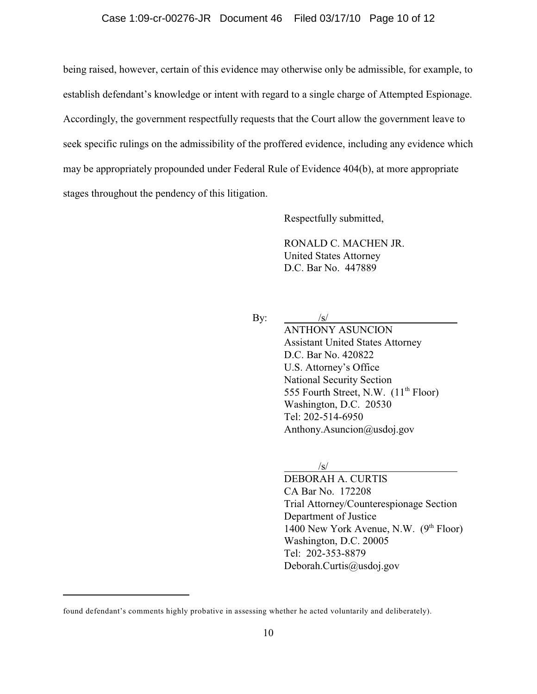being raised, however, certain of this evidence may otherwise only be admissible, for example, to establish defendant's knowledge or intent with regard to a single charge of Attempted Espionage. Accordingly, the government respectfully requests that the Court allow the government leave to seek specific rulings on the admissibility of the proffered evidence, including any evidence which may be appropriately propounded under Federal Rule of Evidence 404(b), at more appropriate stages throughout the pendency of this litigation.

Respectfully submitted,

RONALD C. MACHEN JR. United States Attorney D.C. Bar No. 447889

By:  $/s/$ 

ANTHONY ASUNCION Assistant United States Attorney D.C. Bar No. 420822 U.S. Attorney's Office National Security Section 555 Fourth Street, N.W.  $(11<sup>th</sup>$  Floor) Washington, D.C. 20530 Tel: 202-514-6950 Anthony.Asuncion@usdoj.gov

/s/

DEBORAH A. CURTIS CA Bar No. 172208 Trial Attorney/Counterespionage Section Department of Justice 1400 New York Avenue, N.W.  $(9<sup>th</sup> Floor)$ Washington, D.C. 20005 Tel: 202-353-8879 Deborah.Curtis@usdoj.gov

found defendant's comments highly probative in assessing whether he acted voluntarily and deliberately).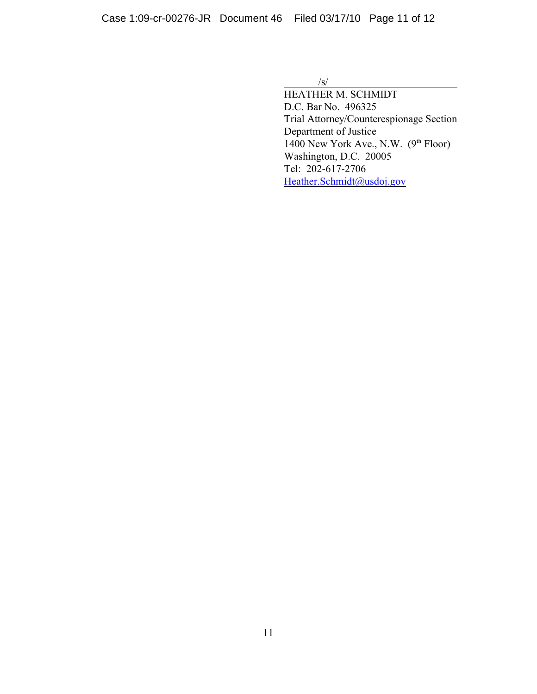$\sqrt{s}$ /

HEATHER M. SCHMIDT D.C. Bar No. 496325 Trial Attorney/Counterespionage Section Department of Justice 1400 New York Ave., N.W.  $(9<sup>th</sup> Floor)$ Washington, D.C. 20005 Tel: 202-617-2706 [Heather.Schmidt@usdoj.gov](mailto:Heather.Schmidt@usdoj.gov)